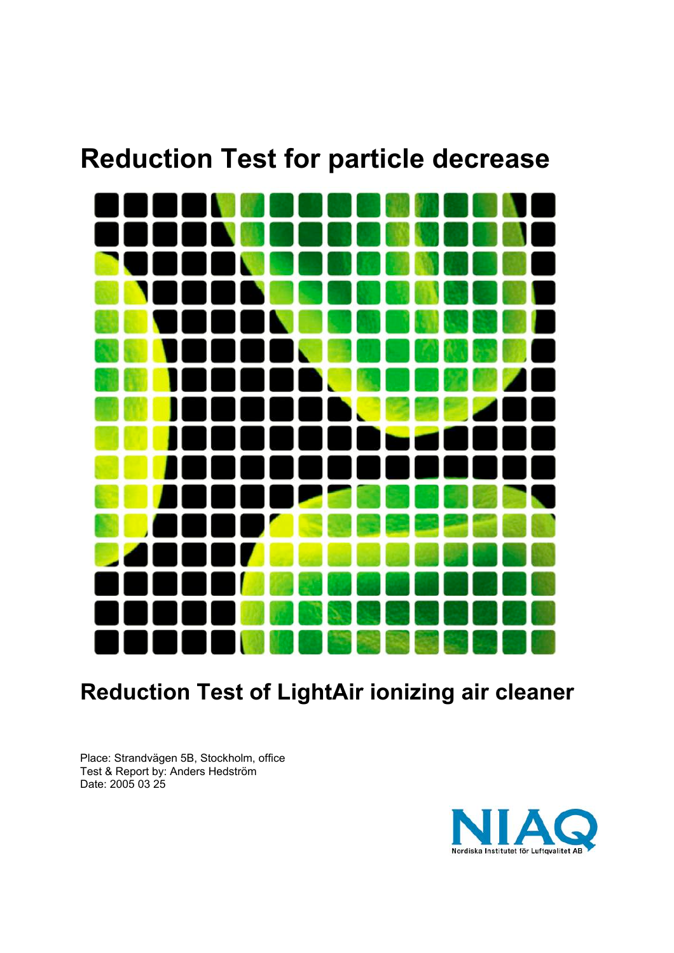# **Reduction Test for particle decrease**



## **Reduction Test of LightAir ionizing air cleaner**

Place: Strandvägen 5B, Stockholm, office Test & Report by: Anders Hedström Date: 2005 03 25

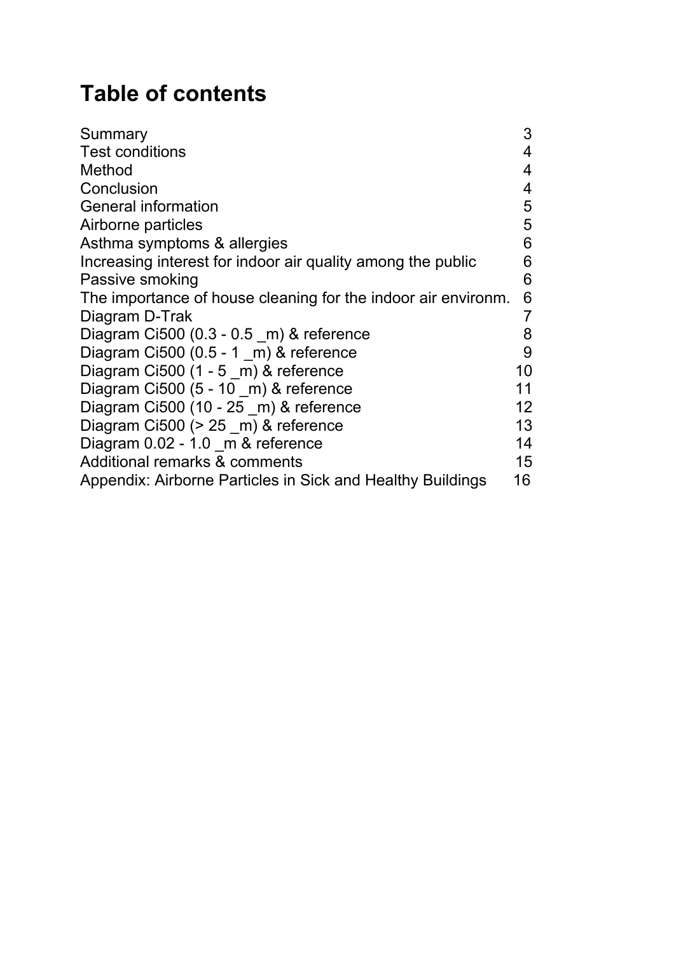## **Table of contents**

| Summary                                                       | 3               |
|---------------------------------------------------------------|-----------------|
| <b>Test conditions</b>                                        | 4               |
| Method                                                        | 4               |
| Conclusion                                                    | 4               |
| General information                                           | 5               |
| Airborne particles                                            | 5               |
| Asthma symptoms & allergies                                   | 6               |
| Increasing interest for indoor air quality among the public   | 6               |
| Passive smoking                                               | 6               |
| The importance of house cleaning for the indoor air environm. | 6               |
| Diagram D-Trak                                                | $\overline{7}$  |
| Diagram Ci500 $(0.3 - 0.5$ m) & reference                     | 8               |
| Diagram Ci500 $(0.5 - 1 \text{ m})$ & reference               | 9               |
| Diagram Ci500 (1 - 5 _m) & reference                          | 10              |
| Diagram Ci500 (5 - 10 m) & reference                          | 11              |
| Diagram Ci500 (10 - 25 _m) & reference                        | 12 <sup>2</sup> |
| Diagram Ci500 ( $> 25$ m) & reference                         | 13              |
| Diagram 0.02 - 1.0 m & reference                              | 14              |
| Additional remarks & comments                                 | 15              |
| Appendix: Airborne Particles in Sick and Healthy Buildings    | 16              |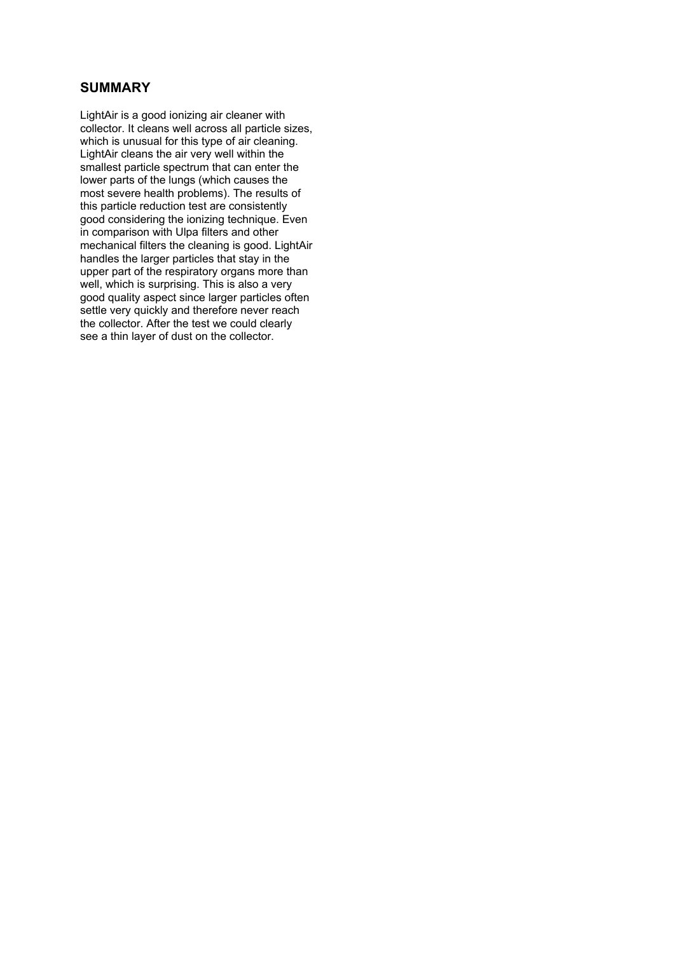## **SUMMARY**

LightAir is a good ionizing air cleaner with collector. It cleans well across all particle sizes, which is unusual for this type of air cleaning. LightAir cleans the air very well within the smallest particle spectrum that can enter the lower parts of the lungs (which causes the most severe health problems). The results of this particle reduction test are consistently good considering the ionizing technique. Even in comparison with Ulpa filters and other mechanical filters the cleaning is good. LightAir handles the larger particles that stay in the upper part of the respiratory organs more than well, which is surprising. This is also a very good quality aspect since larger particles often settle very quickly and therefore never reach the collector. After the test we could clearly see a thin layer of dust on the collector.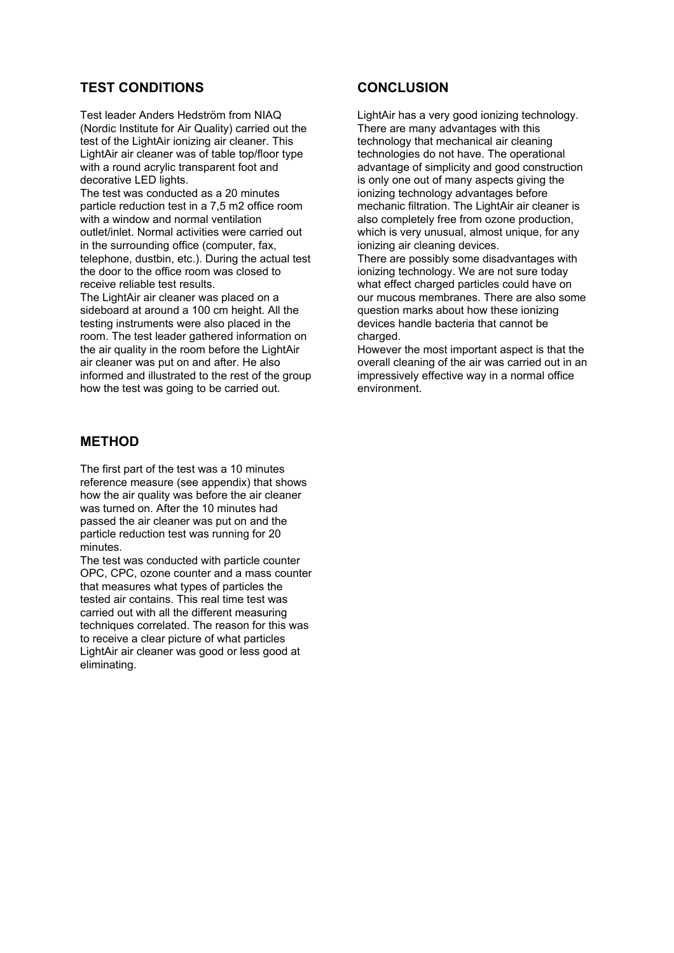## **TEST CONDITIONS**

Test leader Anders Hedström from NIAQ (Nordic Institute for Air Quality) carried out the test of the LightAir ionizing air cleaner. This LightAir air cleaner was of table top/floor type with a round acrylic transparent foot and decorative LED lights.

The test was conducted as a 20 minutes particle reduction test in a 7,5 m2 office room with a window and normal ventilation outlet/inlet. Normal activities were carried out in the surrounding office (computer, fax, telephone, dustbin, etc.). During the actual test the door to the office room was closed to receive reliable test results.

The LightAir air cleaner was placed on a sideboard at around a 100 cm height. All the testing instruments were also placed in the room. The test leader gathered information on the air quality in the room before the LightAir air cleaner was put on and after. He also informed and illustrated to the rest of the group how the test was going to be carried out.

### **METHOD**

The first part of the test was a 10 minutes reference measure (see appendix) that shows how the air quality was before the air cleaner was turned on. After the 10 minutes had passed the air cleaner was put on and the particle reduction test was running for 20 minutes.

The test was conducted with particle counter OPC, CPC, ozone counter and a mass counter that measures what types of particles the tested air contains. This real time test was carried out with all the different measuring techniques correlated. The reason for this was to receive a clear picture of what particles LightAir air cleaner was good or less good at eliminating.

#### **CONCLUSION**

LightAir has a very good ionizing technology. There are many advantages with this technology that mechanical air cleaning technologies do not have. The operational advantage of simplicity and good construction is only one out of many aspects giving the ionizing technology advantages before mechanic filtration. The LightAir air cleaner is also completely free from ozone production, which is very unusual, almost unique, for any ionizing air cleaning devices. There are possibly some disadvantages with

ionizing technology. We are not sure today what effect charged particles could have on our mucous membranes. There are also some question marks about how these ionizing devices handle bacteria that cannot be charged.

However the most important aspect is that the overall cleaning of the air was carried out in an impressively effective way in a normal office environment.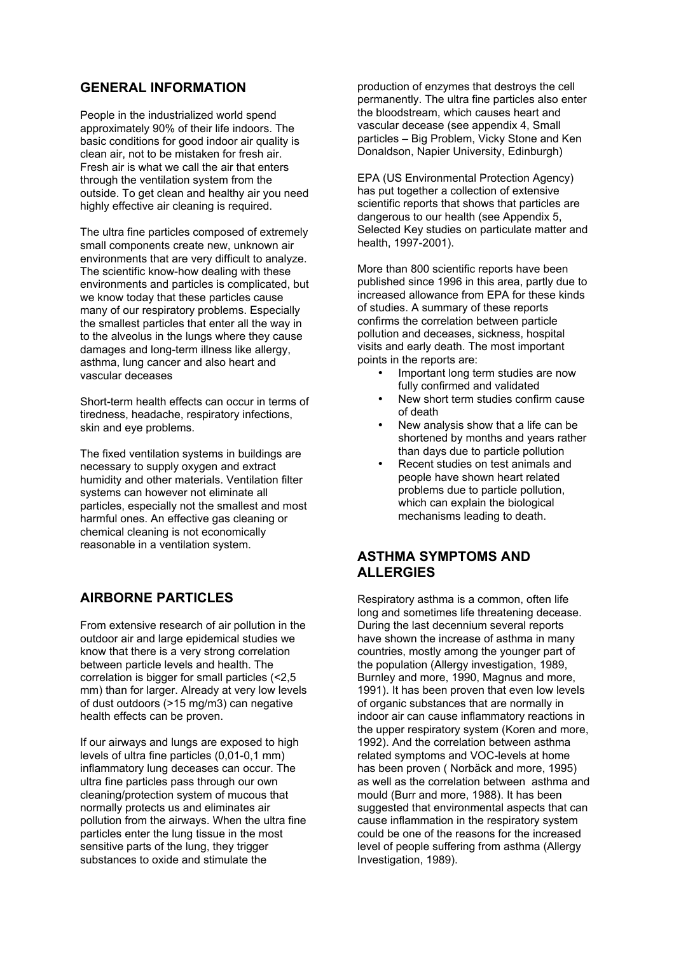## **GENERAL INFORMATION**

People in the industrialized world spend approximately 90% of their life indoors. The basic conditions for good indoor air quality is clean air, not to be mistaken for fresh air. Fresh air is what we call the air that enters through the ventilation system from the outside. To get clean and healthy air you need highly effective air cleaning is required.

The ultra fine particles composed of extremely small components create new, unknown air environments that are very difficult to analyze. The scientific know-how dealing with these environments and particles is complicated, but we know today that these particles cause many of our respiratory problems. Especially the smallest particles that enter all the way in to the alveolus in the lungs where they cause damages and long-term illness like allergy, asthma, lung cancer and also heart and vascular deceases

Short-term health effects can occur in terms of tiredness, headache, respiratory infections, skin and eye problems.

The fixed ventilation systems in buildings are necessary to supply oxygen and extract humidity and other materials. Ventilation filter systems can however not eliminate all particles, especially not the smallest and most harmful ones. An effective gas cleaning or chemical cleaning is not economically reasonable in a ventilation system.

## **AIRBORNE PARTICLES**

From extensive research of air pollution in the outdoor air and large epidemical studies we know that there is a very strong correlation between particle levels and health. The correlation is bigger for small particles (<2,5 mm) than for larger. Already at very low levels of dust outdoors (>15 mg/m3) can negative health effects can be proven.

If our airways and lungs are exposed to high levels of ultra fine particles (0,01-0,1 mm) inflammatory lung deceases can occur. The ultra fine particles pass through our own cleaning/protection system of mucous that normally protects us and eliminates air pollution from the airways. When the ultra fine particles enter the lung tissue in the most sensitive parts of the lung, they trigger substances to oxide and stimulate the

production of enzymes that destroys the cell permanently. The ultra fine particles also enter the bloodstream, which causes heart and vascular decease (see appendix 4, Small particles – Big Problem, Vicky Stone and Ken Donaldson, Napier University, Edinburgh)

EPA (US Environmental Protection Agency) has put together a collection of extensive scientific reports that shows that particles are dangerous to our health (see Appendix 5, Selected Key studies on particulate matter and health, 1997-2001).

More than 800 scientific reports have been published since 1996 in this area, partly due to increased allowance from EPA for these kinds of studies. A summary of these reports confirms the correlation between particle pollution and deceases, sickness, hospital visits and early death. The most important points in the reports are:

- Important long term studies are now fully confirmed and validated
- New short term studies confirm cause of death
- New analysis show that a life can be shortened by months and years rather than days due to particle pollution
- Recent studies on test animals and people have shown heart related problems due to particle pollution, which can explain the biological mechanisms leading to death.

#### **ASTHMA SYMPTOMS AND ALLERGIES**

Respiratory asthma is a common, often life long and sometimes life threatening decease. During the last decennium several reports have shown the increase of asthma in many countries, mostly among the younger part of the population (Allergy investigation, 1989, Burnley and more, 1990, Magnus and more, 1991). It has been proven that even low levels of organic substances that are normally in indoor air can cause inflammatory reactions in the upper respiratory system (Koren and more, 1992). And the correlation between asthma related symptoms and VOC-levels at home has been proven ( Norbäck and more, 1995) as well as the correlation between asthma and mould (Burr and more, 1988). It has been suggested that environmental aspects that can cause inflammation in the respiratory system could be one of the reasons for the increased level of people suffering from asthma (Allergy Investigation, 1989).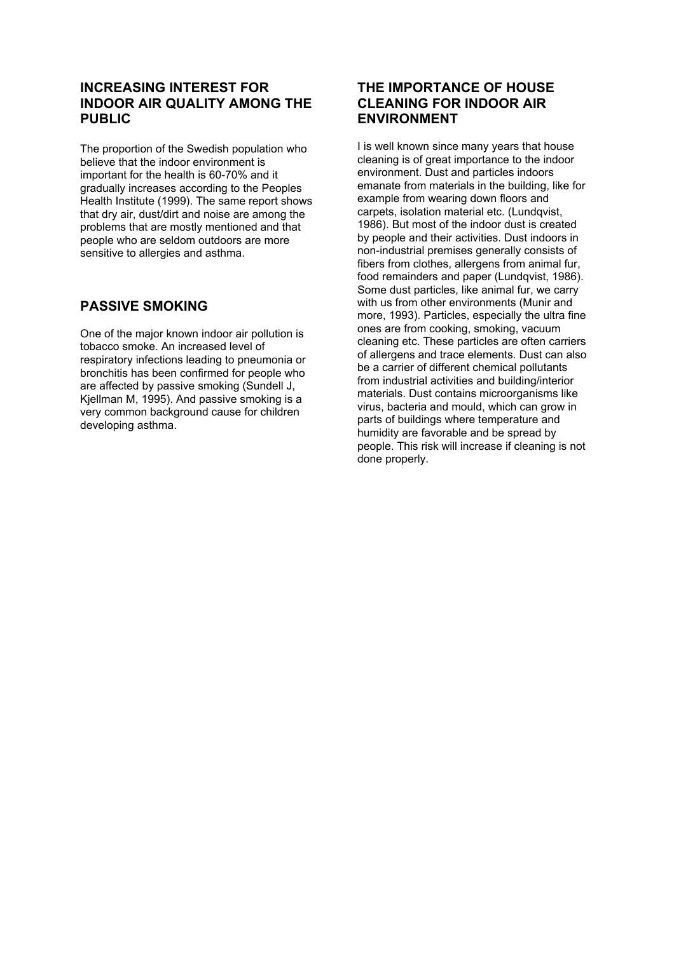## **INCREASING INTEREST FOR INDOOR AIR QUALITY AMONG THE PUBLIC**

The proportion of the Swedish population who believe that the indoor environment is important for the health is 60-70% and it gradually increases according to the Peoples Health Institute (1999). The same report shows that dry air, dust/dirt and noise are among the problems that are mostly mentioned and that people who are seldom outdoors are more sensitive to allergies and asthma.

## **PASSIVE SMOKING**

One of the major known indoor air pollution is tobacco smoke. An increased level of respiratory infections leading to pneumonia or bronchitis has been confirmed for people who are affected by passive smoking (Sundell J, Kjellman M, 1995). And passive smoking is a very common background cause for children developing asthma.

## **THE IMPORTANCE OF HOUSE CLEANING FOR INDOOR AIR ENVIRONMENT**

I is well known since many years that house cleaning is of great importance to the indoor environment. Dust and particles indoors emanate from materials in the building, like for example from wearing down floors and carpets, isolation material etc. (Lundqvist, 1986). But most of the indoor dust is created by people and their activities. Dust indoors in non-industrial premises generally consists of fibers from clothes, allergens from animal fur, food remainders and paper (Lundqvist, 1986). Some dust particles, like animal fur, we carry with us from other environments (Munir and more, 1993). Particles, especially the ultra fine ones are from cooking, smoking, vacuum cleaning etc. These particles are often carriers of allergens and trace elements. Dust can also be a carrier of different chemical pollutants from industrial activities and building/interior materials. Dust contains microorganisms like virus, bacteria and mould, which can grow in parts of buildings where temperature and humidity are favorable and be spread by people. This risk will increase if cleaning is not done properly.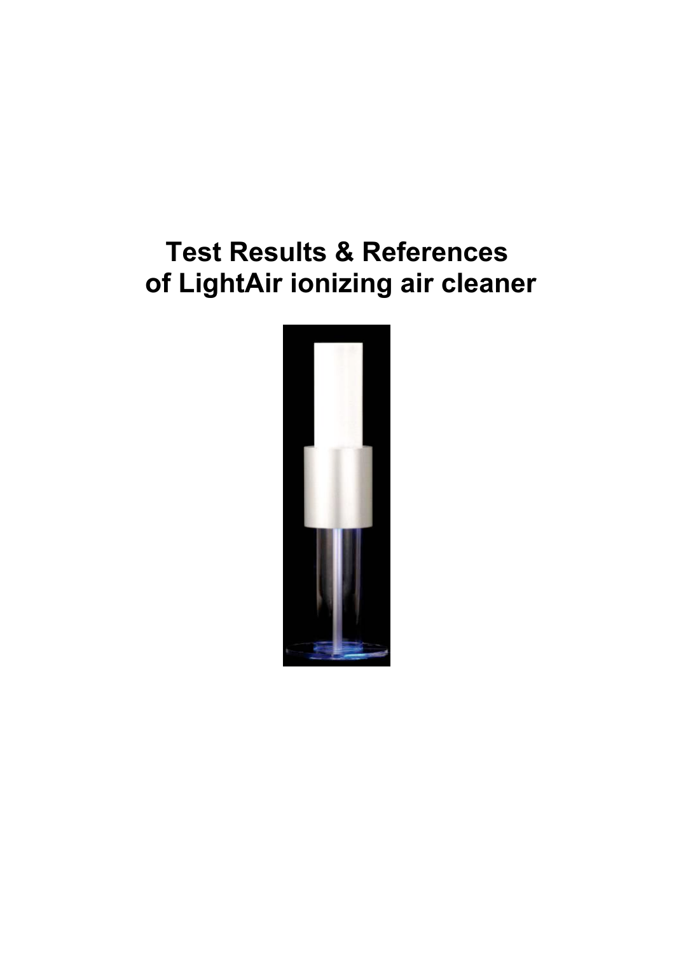# **Test Results & References of LightAir ionizing air cleaner**

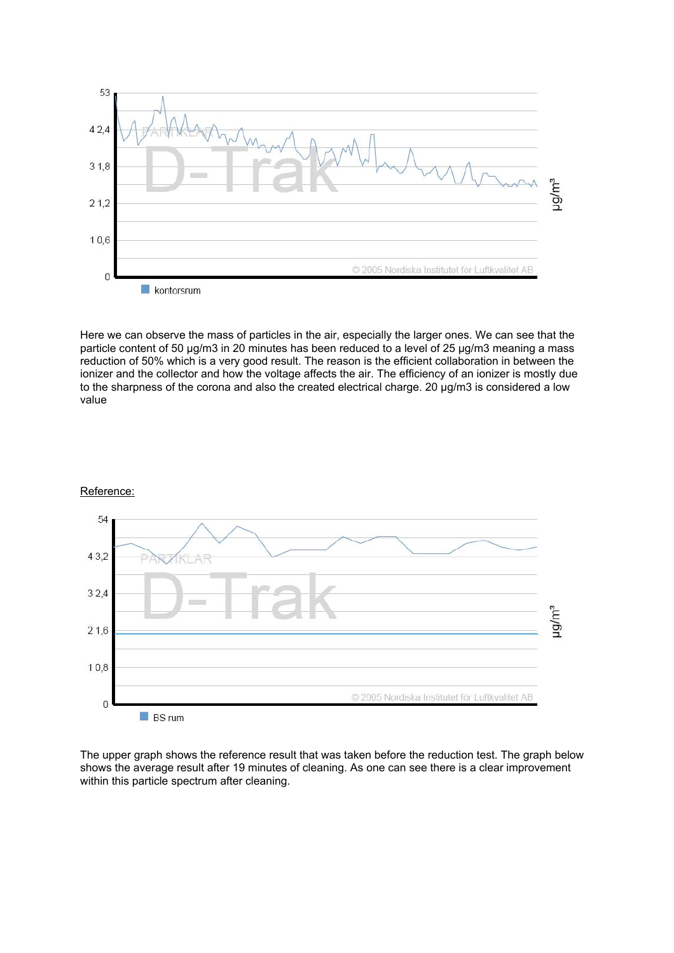

Here we can observe the mass of particles in the air, especially the larger ones. We can see that the particle content of 50 µg/m3 in 20 minutes has been reduced to a level of 25 µg/m3 meaning a mass reduction of 50% which is a very good result. The reason is the efficient collaboration in between the ionizer and the collector and how the voltage affects the air. The efficiency of an ionizer is mostly due to the sharpness of the corona and also the created electrical charge. 20 µg/m3 is considered a low value





The upper graph shows the reference result that was taken before the reduction test. The graph below shows the average result after 19 minutes of cleaning. As one can see there is a clear improvement within this particle spectrum after cleaning.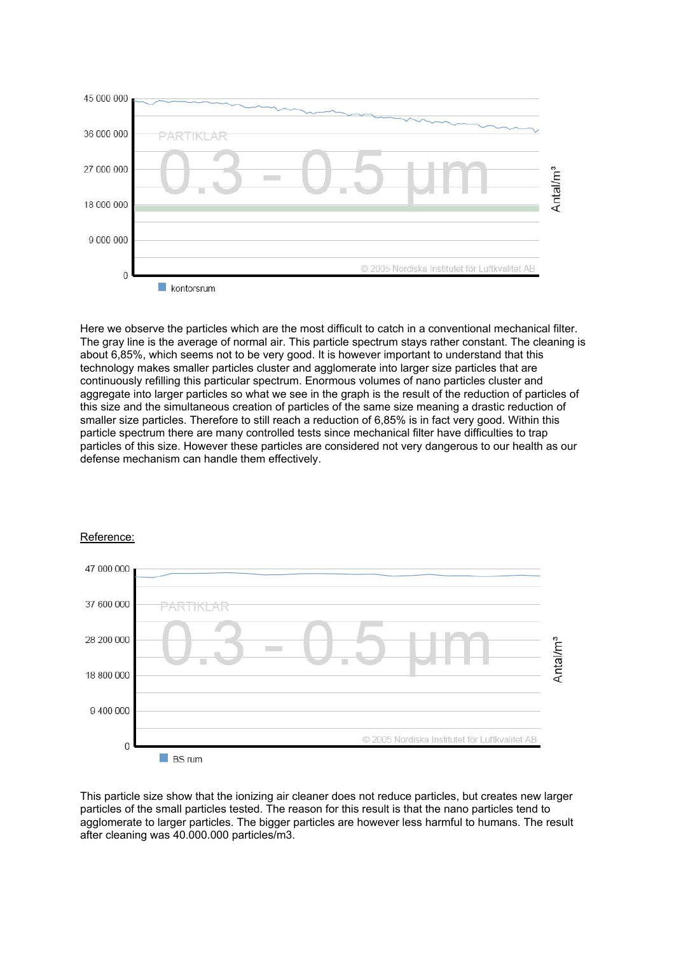

Here we observe the particles which are the most difficult to catch in a conventional mechanical filter. The gray line is the average of normal air. This particle spectrum stays rather constant. The cleaning is about 6,85%, which seems not to be very good. It is however important to understand that this technology makes smaller particles cluster and agglomerate into larger size particles that are continuously refilling this particular spectrum. Enormous volumes of nano particles cluster and aggregate into larger particles so what we see in the graph is the result of the reduction of particles of this size and the simultaneous creation of particles of the same size meaning a drastic reduction of smaller size particles. Therefore to still reach a reduction of 6,85% is in fact very good. Within this particle spectrum there are many controlled tests since mechanical filter have difficulties to trap particles of this size. However these particles are considered not very dangerous to our health as our defense mechanism can handle them effectively.



#### Reference:

This particle size show that the ionizing air cleaner does not reduce particles, but creates new larger particles of the small particles tested. The reason for this result is that the nano particles tend to agglomerate to larger particles. The bigger particles are however less harmful to humans. The result after cleaning was 40.000.000 particles/m3.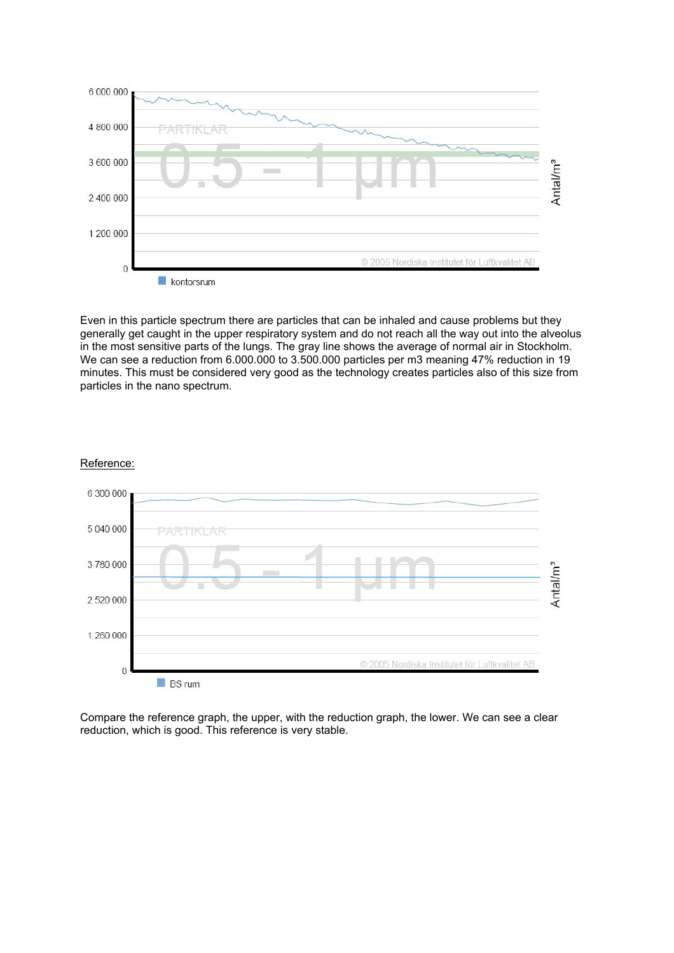

Even in this particle spectrum there are particles that can be inhaled and cause problems but they generally get caught in the upper respiratory system and do not reach all the way out into the alveolus in the most sensitive parts of the lungs. The gray line shows the average of normal air in Stockholm. We can see a reduction from 6.000.000 to 3.500.000 particles per m3 meaning 47% reduction in 19 minutes. This must be considered very good as the technology creates particles also of this size from particles in the nano spectrum.





Compare the reference graph, the upper, with the reduction graph, the lower. We can see a clear reduction, which is good. This reference is very stable.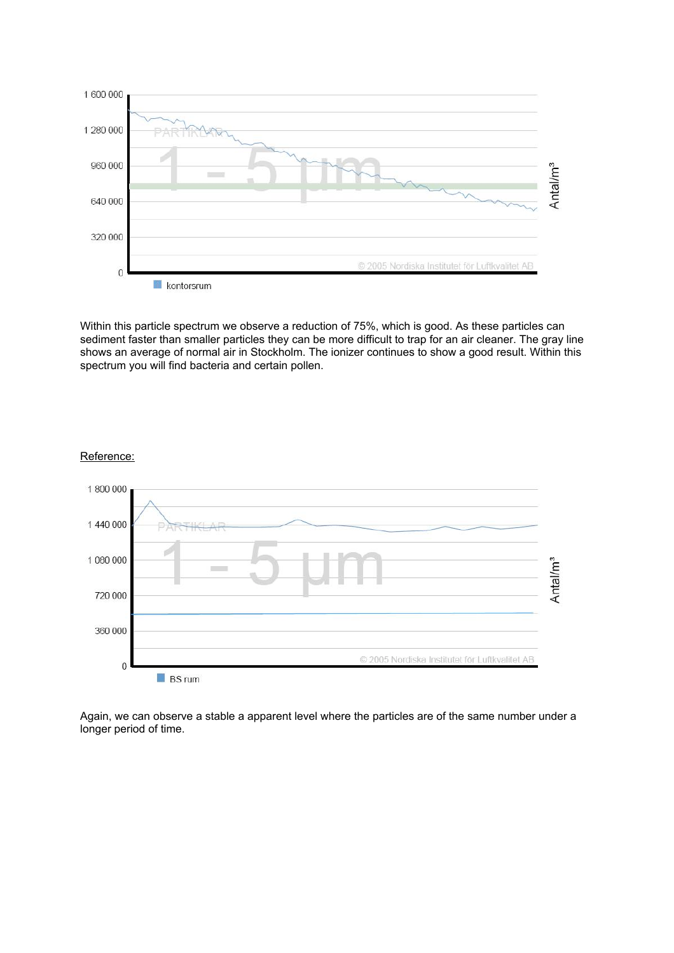

Within this particle spectrum we observe a reduction of 75%, which is good. As these particles can sediment faster than smaller particles they can be more difficult to trap for an air cleaner. The gray line shows an average of normal air in Stockholm. The ionizer continues to show a good result. Within this spectrum you will find bacteria and certain pollen.



#### Reference:

Again, we can observe a stable a apparent level where the particles are of the same number under a longer period of time.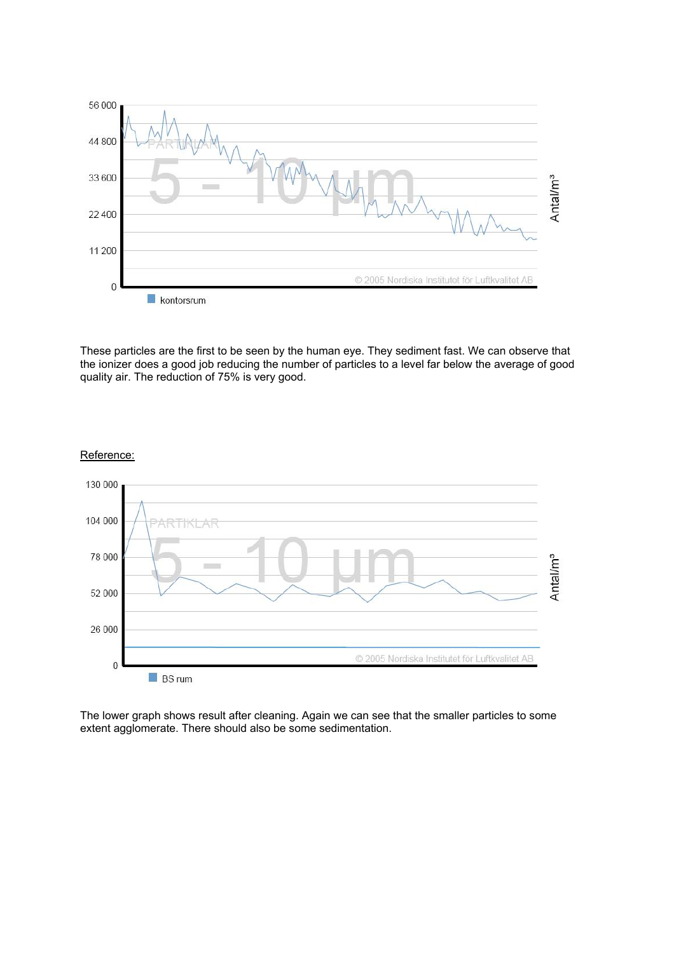

These particles are the first to be seen by the human eye. They sediment fast. We can observe that the ionizer does a good job reducing the number of particles to a level far below the average of good quality air. The reduction of 75% is very good.



#### Reference:

The lower graph shows result after cleaning. Again we can see that the smaller particles to some extent agglomerate. There should also be some sedimentation.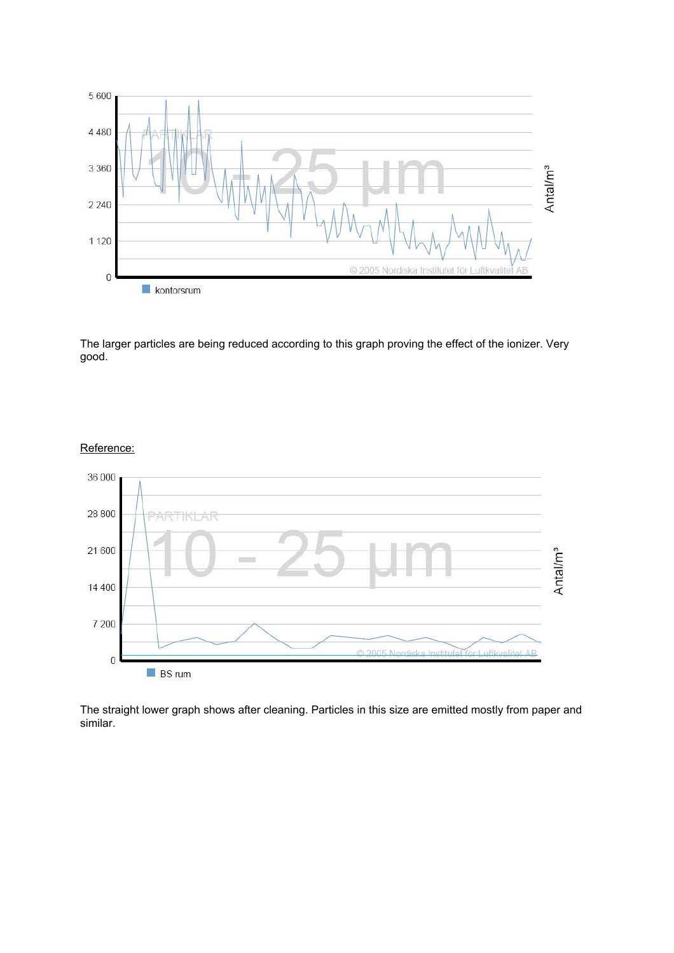

The larger particles are being reduced according to this graph proving the effect of the ionizer. Very good.



#### Reference:

The straight lower graph shows after cleaning. Particles in this size are emitted mostly from paper and similar.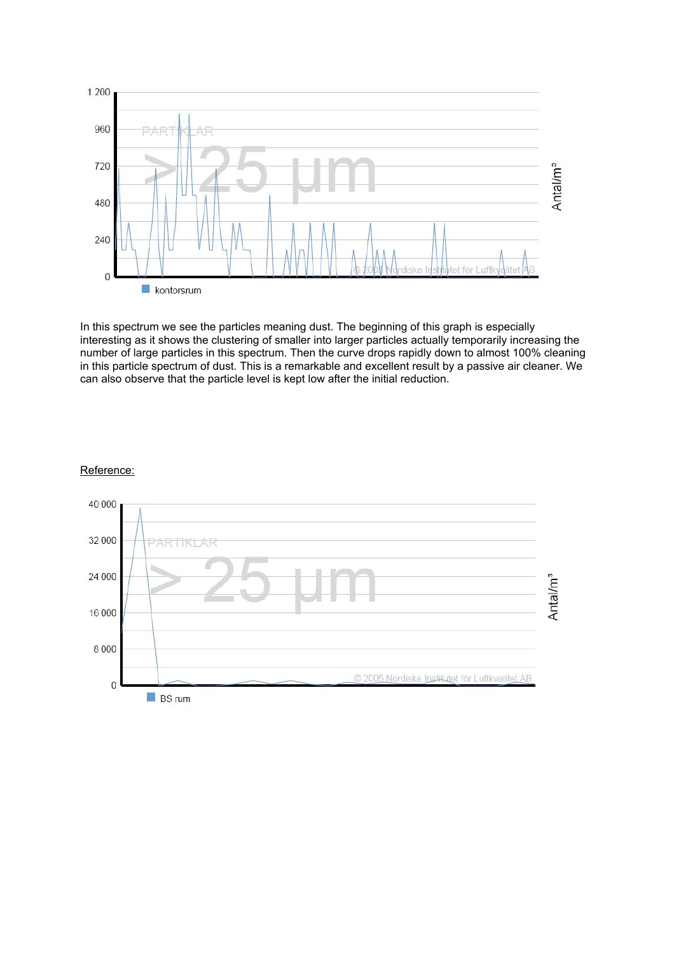

In this spectrum we see the particles meaning dust. The beginning of this graph is especially interesting as it shows the clustering of smaller into larger particles actually temporarily increasing the number of large particles in this spectrum. Then the curve drops rapidly down to almost 100% cleaning in this particle spectrum of dust. This is a remarkable and excellent result by a passive air cleaner. We can also observe that the particle level is kept low after the initial reduction.

#### Reference:

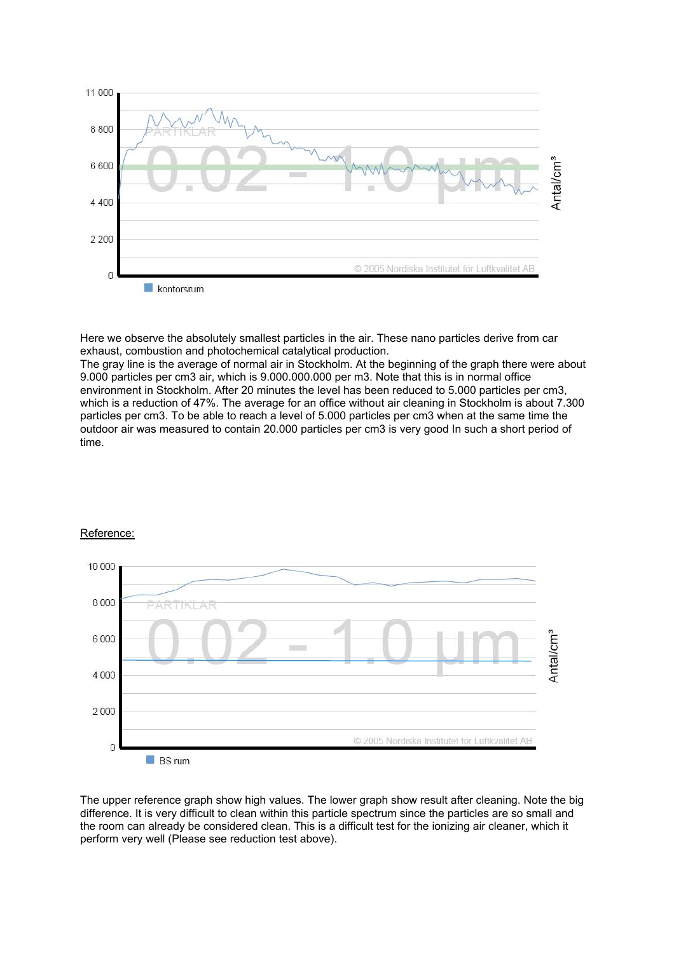

Here we observe the absolutely smallest particles in the air. These nano particles derive from car exhaust, combustion and photochemical catalytical production.

The gray line is the average of normal air in Stockholm. At the beginning of the graph there were about 9.000 particles per cm3 air, which is 9.000.000.000 per m3. Note that this is in normal office environment in Stockholm. After 20 minutes the level has been reduced to 5.000 particles per cm3, which is a reduction of 47%. The average for an office without air cleaning in Stockholm is about 7.300 particles per cm3. To be able to reach a level of 5.000 particles per cm3 when at the same time the outdoor air was measured to contain 20.000 particles per cm3 is very good In such a short period of time.



#### Reference:

The upper reference graph show high values. The lower graph show result after cleaning. Note the big difference. It is very difficult to clean within this particle spectrum since the particles are so small and the room can already be considered clean. This is a difficult test for the ionizing air cleaner, which it perform very well (Please see reduction test above).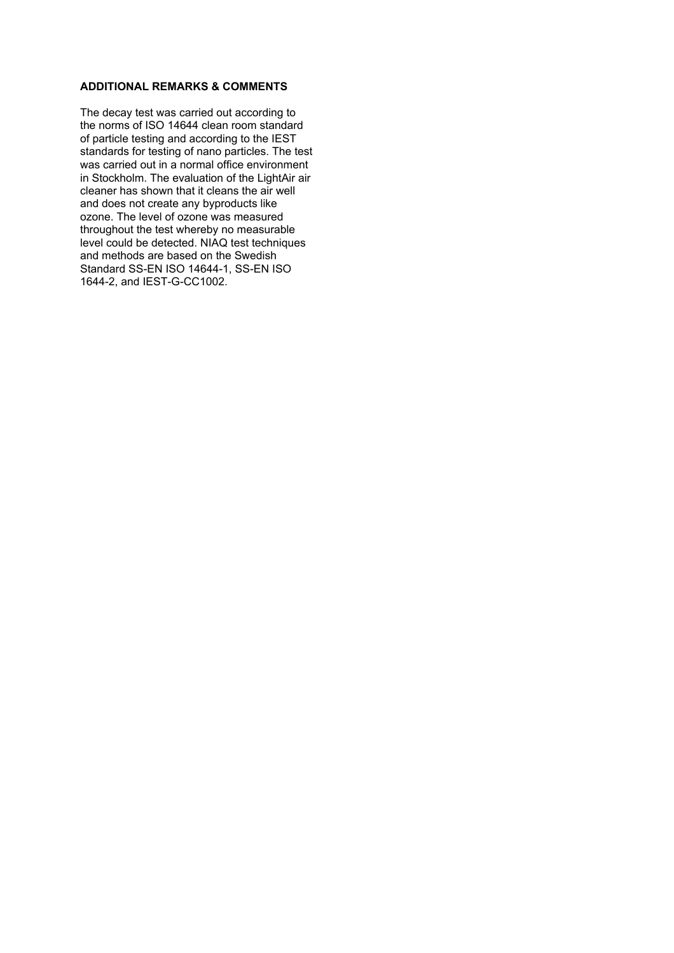#### **ADDITIONAL REMARKS & COMMENTS**

The decay test was carried out according to the norms of ISO 14644 clean room standard of particle testing and according to the IEST standards for testing of nano particles. The test was carried out in a normal office environment in Stockholm. The evaluation of the LightAir air cleaner has shown that it cleans the air well and does not create any byproducts like ozone. The level of ozone was measured throughout the test whereby no measurable level could be detected. NIAQ test techniques and methods are based on the Swedish Standard SS-EN ISO 14644-1, SS-EN ISO 1644-2, and IEST-G-CC1002.